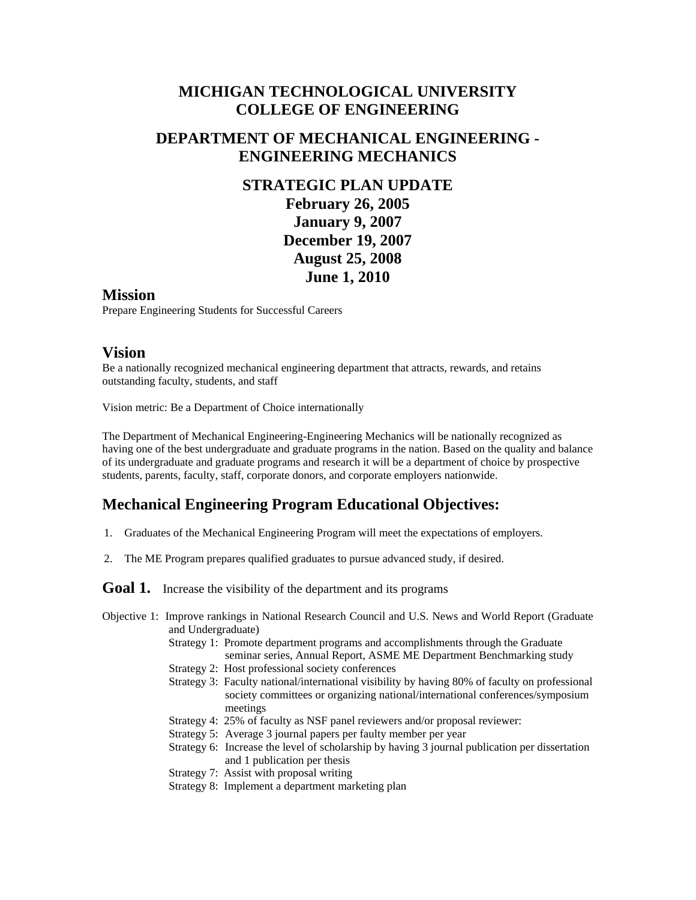## **MICHIGAN TECHNOLOGICAL UNIVERSITY COLLEGE OF ENGINEERING**

#### **DEPARTMENT OF MECHANICAL ENGINEERING - ENGINEERING MECHANICS**

# **STRATEGIC PLAN UPDATE February 26, 2005 January 9, 2007 December 19, 2007 August 25, 2008 June 1, 2010**

#### **Mission**

Prepare Engineering Students for Successful Careers

#### **Vision**

 outstanding faculty, students, and staff Be a nationally recognized mechanical engineering department that attracts, rewards, and retains

Vision metric: Be a Department of Choice internationally

The Department of Mechanical Engineering-Engineering Mechanics will be nationally recognized as having one of the best undergraduate and graduate programs in the nation. Based on the quality and balance of its undergraduate and graduate programs and research it will be a department of choice by prospective students, parents, faculty, staff, corporate donors, and corporate employers nationwide.

## **Mechanical Engineering Program Educational Objectives:**

- 1. Graduates of the Mechanical Engineering Program will meet the expectations of employers.
- 2. The ME Program prepares qualified graduates to pursue advanced study, if desired.

Goal 1. Increase the visibility of the department and its programs

- Objective 1: Improve rankings in National Research Council and U.S. News and World Report (Graduate and Undergraduate)
	- Strategy 1: Promote department programs and accomplishments through the Graduate seminar series, Annual Report, ASME ME Department Benchmarking study
	- Strategy 2: Host professional society conferences
	- Strategy 3: Faculty national/international visibility by having 80% of faculty on professional society committees or organizing national/international conferences/symposium meetings
	- Strategy 4: 25% of faculty as NSF panel reviewers and/or proposal reviewer:
	- Strategy 5: Average 3 journal papers per faulty member per year
	- Strategy 6: Increase the level of scholarship by having 3 journal publication per dissertation and 1 publication per thesis
	- Strategy 7: Assist with proposal writing
	- Strategy 8: Implement a department marketing plan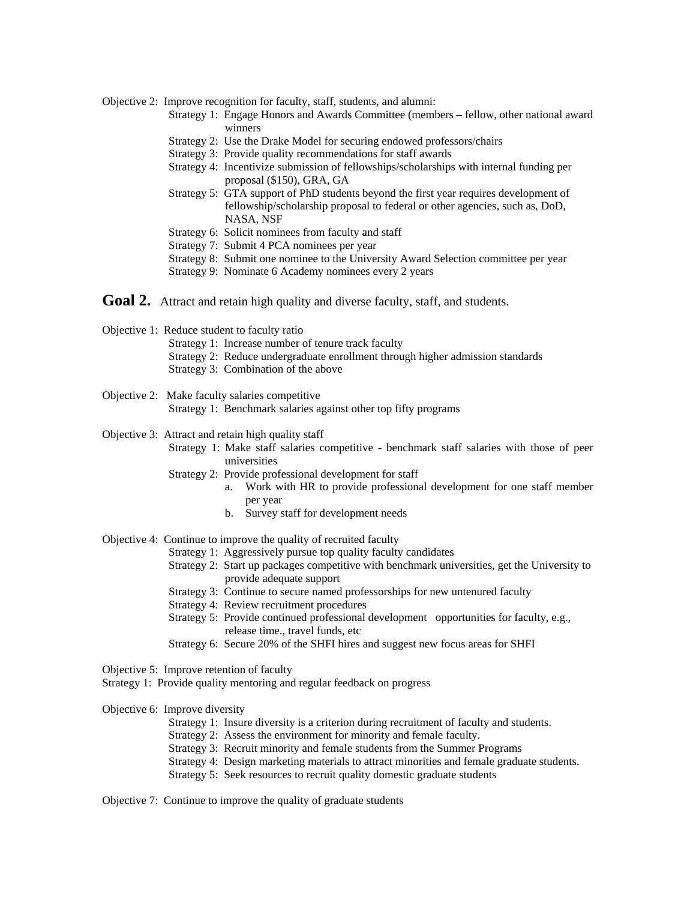Objective 2: Improve recognition for faculty, staff, students, and alumni:

- Strategy 1: Engage Honors and Awards Committee (members fellow, other national award winners
- Strategy 2: Use the Drake Model for securing endowed professors/chairs
- Strategy 3: Provide quality recommendations for staff awards
- Strategy 4: Incentivize submission of fellowships/scholarships with internal funding per proposal (\$150), GRA, GA
- Strategy 5: GTA support of PhD students beyond the first year requires development of fellowship/scholarship proposal to federal or other agencies, such as, DoD, NASA, NSF
- Strategy 6: Solicit nominees from faculty and staff
- Strategy 7: Submit 4 PCA nominees per year
- Strategy 8: Submit one nominee to the University Award Selection committee per year
- Strategy 9: Nominate 6 Academy nominees every 2 years
- Goal 2. Attract and retain high quality and diverse faculty, staff, and students.

Objective 1: Reduce student to faculty ratio

- Strategy 1: Increase number of tenure track faculty
- Strategy 2: Reduce undergraduate enrollment through higher admission standards
- Strategy 3: Combination of the above
- Objective 2: Make faculty salaries competitive Strategy 1: Benchmark salaries against other top fifty programs

Objective 3: Attract and retain high quality staff

- Strategy 1: Make staff salaries competitive benchmark staff salaries with those of peer universities
- Strategy 2: Provide professional development for staff
	- a. Work with HR to provide professional development for one staff member per year
	- b. Survey staff for development needs
- Objective 4: Continue to improve the quality of recruited faculty
	- Strategy 1: Aggressively pursue top quality faculty candidates
	- Strategy 2: Start up packages competitive with benchmark universities, get the University to provide adequate support
	- Strategy 3: Continue to secure named professorships for new untenured faculty
	- Strategy 4: Review recruitment procedures
	- Strategy 5: Provide continued professional development opportunities for faculty, e.g., release time., travel funds, etc
	- Strategy 6: Secure 20% of the SHFI hires and suggest new focus areas for SHFI

Objective 5: Improve retention of faculty

Strategy 1: Provide quality mentoring and regular feedback on progress

Objective 6: Improve diversity

- Strategy 1: Insure diversity is a criterion during recruitment of faculty and students.
- Strategy 2: Assess the environment for minority and female faculty.
- Strategy 3: Recruit minority and female students from the Summer Programs
- Strategy 3: Recruit minority and female students from the Summer Programs Strategy 4: Design marketing materials to attract minorities and female graduate students.
- Strategy 5: Seek resources to recruit quality domestic graduate students

Objective 7: Continue to improve the quality of graduate students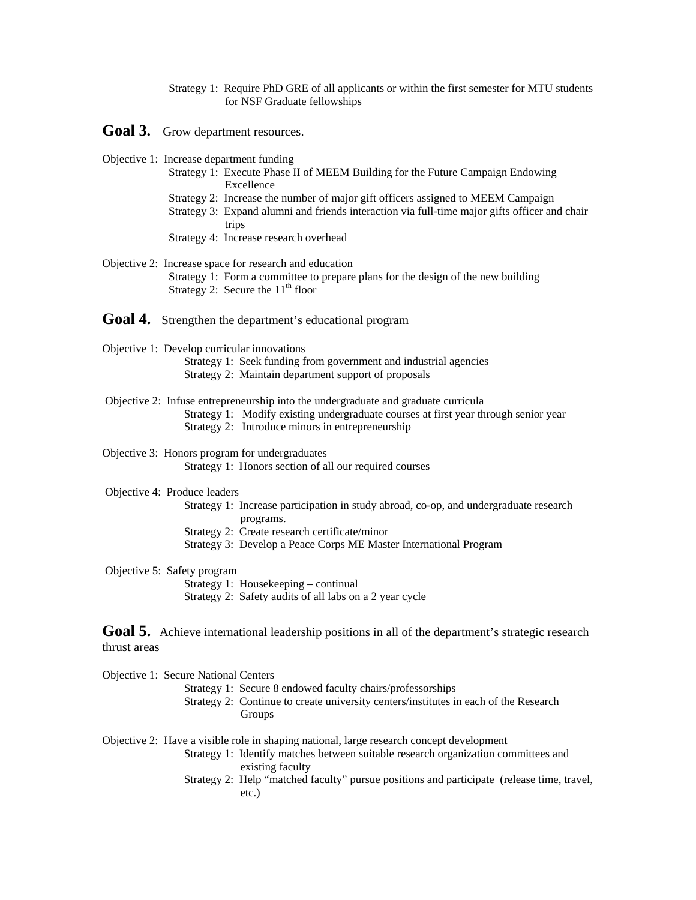- Strategy 1: Require PhD GRE of all applicants or within the first semester for MTU students for NSF Graduate fellowships
- Goal 3. Grow department resources.
- Objective 1: Increase department funding
	- Strategy 1: Execute Phase II of MEEM Building for the Future Campaign Endowing Excellence
	- Strategy 2: Increase the number of major gift officers assigned to MEEM Campaign
	- Strategy 3: Expand alumni and friends interaction via full-time major gifts officer and chair trips
	- Strategy 4: Increase research overhead
- Strategy 1: Form a committee to prepare plans for the design of the new building Objective 2: Increase space for research and education Strategy 2: Secure the  $11<sup>th</sup>$  floor
- Goal 4. Strengthen the department's educational program
- Objective 1: Develop curricular innovations
	- Strategy 1: Seek funding from government and industrial agencies Strategy 2: Maintain department support of proposals
- Objective 2: Infuse entrepreneurship into the undergraduate and graduate curricula
	- Strategy 1: Modify existing undergraduate courses at first year through senior year Strategy 2: Introduce minors in entrepreneurship
	- Strategy 2: Introduce minors in entrepreneurship

Objective 3: Honors program for undergraduates

- Strategy 1: Honors section of all our required courses
- Objective 4: Produce leaders
	- Strategy 1: Increase participation in study abroad, co-op, and undergraduate research programs.
	- Strategy 2: Create research certificate/minor
	- Strategy 3: Develop a Peace Corps ME Master International Program
- Objective 5: Safety program
	- Strategy 1: Housekeeping continual
	- Strategy 2: Safety audits of all labs on a 2 year cycle

Goal 5. Achieve international leadership positions in all of the department's strategic research thrust areas

Objective 1: Secure National Centers

- Strategy 1: Secure 8 endowed faculty chairs/professorships
- Groups Strategy 2: Continue to create university centers/institutes in each of the Research

Objective 2: Have a visible role in shaping national, large research concept development

- Strategy 1: Identify matches between suitable research organization committees and existing faculty
- Strategy 2: Help "matched faculty" pursue positions and participate (release time, travel, etc.)